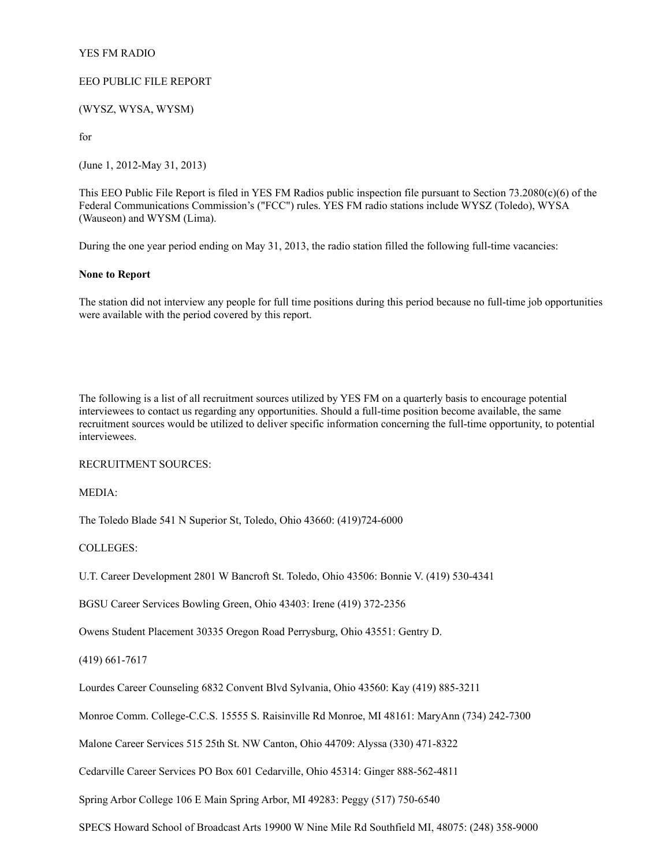### YES FM RADIO

# EEO PUBLIC FILE REPORT

(WYSZ, WYSA, WYSM)

for

(June 1, 2012-May 31, 2013)

This EEO Public File Report is filed in YES FM Radios public inspection file pursuant to Section  $73.2080(c)(6)$  of the Federal Communications Commission's ("FCC") rules. YES FM radio stations include WYSZ (Toledo), WYSA (Wauseon) and WYSM (Lima).

During the one year period ending on May 31, 2013, the radio station filled the following full-time vacancies:

# **None to Report**

The station did not interview any people for full time positions during this period because no full-time job opportunities were available with the period covered by this report.

The following is a list of all recruitment sources utilized by YES FM on a quarterly basis to encourage potential interviewees to contact us regarding any opportunities. Should a full-time position become available, the same recruitment sources would be utilized to deliver specific information concerning the full-time opportunity, to potential interviewees.

RECRUITMENT SOURCES:

MEDIA:

The Toledo Blade 541 N Superior St, Toledo, Ohio 43660: (419)724-6000

COLLEGES:

U.T. Career Development 2801 W Bancroft St. Toledo, Ohio 43506: Bonnie V. (419) 530-4341

BGSU Career Services Bowling Green, Ohio 43403: Irene (419) 372-2356

Owens Student Placement 30335 Oregon Road Perrysburg, Ohio 43551: Gentry D.

(419) 661-7617

Lourdes Career Counseling 6832 Convent Blvd Sylvania, Ohio 43560: Kay (419) 885-3211

Monroe Comm. College-C.C.S. 15555 S. Raisinville Rd Monroe, MI 48161: MaryAnn (734) 242-7300

Malone Career Services 515 25th St. NW Canton, Ohio 44709: Alyssa (330) 471-8322

Cedarville Career Services PO Box 601 Cedarville, Ohio 45314: Ginger 888-562-4811

Spring Arbor College 106 E Main Spring Arbor, MI 49283: Peggy (517) 750-6540

SPECS Howard School of Broadcast Arts 19900 W Nine Mile Rd Southfield MI, 48075: (248) 358-9000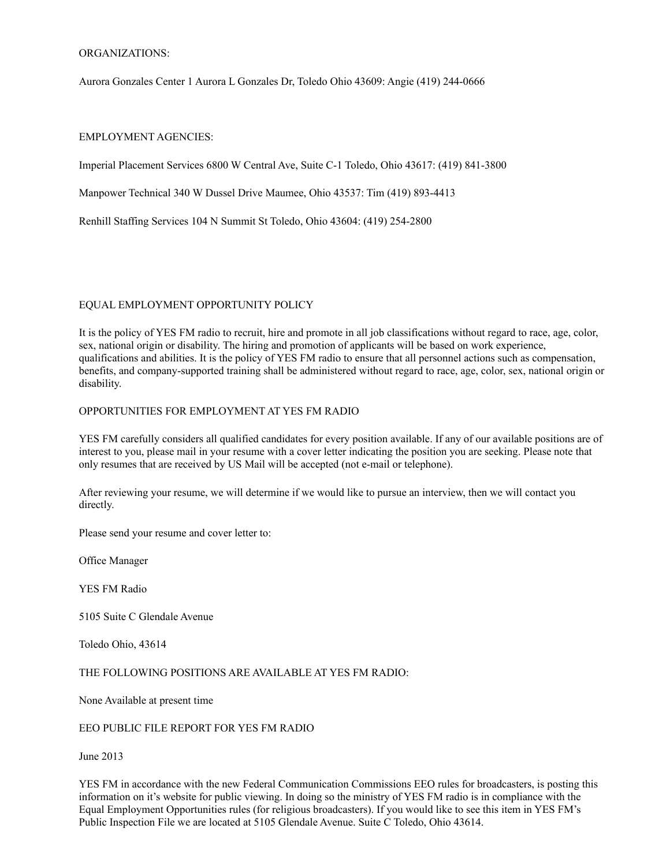# ORGANIZATIONS:

Aurora Gonzales Center 1 Aurora L Gonzales Dr, Toledo Ohio 43609: Angie (419) 244-0666

### EMPLOYMENT AGENCIES:

Imperial Placement Services 6800 W Central Ave, Suite C-1 Toledo, Ohio 43617: (419) 841-3800

Manpower Technical 340 W Dussel Drive Maumee, Ohio 43537: Tim (419) 893-4413

Renhill Staffing Services 104 N Summit St Toledo, Ohio 43604: (419) 254-2800

# EQUAL EMPLOYMENT OPPORTUNITY POLICY

It is the policy of YES FM radio to recruit, hire and promote in all job classifications without regard to race, age, color, sex, national origin or disability. The hiring and promotion of applicants will be based on work experience, qualifications and abilities. It is the policy of YES FM radio to ensure that all personnel actions such as compensation, benefits, and company-supported training shall be administered without regard to race, age, color, sex, national origin or disability.

# OPPORTUNITIES FOR EMPLOYMENT AT YES FM RADIO

YES FM carefully considers all qualified candidates for every position available. If any of our available positions are of interest to you, please mail in your resume with a cover letter indicating the position you are seeking. Please note that only resumes that are received by US Mail will be accepted (not e-mail or telephone).

After reviewing your resume, we will determine if we would like to pursue an interview, then we will contact you directly.

Please send your resume and cover letter to:

Office Manager

YES FM Radio

5105 Suite C Glendale Avenue

Toledo Ohio, 43614

THE FOLLOWING POSITIONS ARE AVAILABLE AT YES FM RADIO:

None Available at present time

#### EEO PUBLIC FILE REPORT FOR YES FM RADIO

June 2013

YES FM in accordance with the new Federal Communication Commissions EEO rules for broadcasters, is posting this information on it's website for public viewing. In doing so the ministry of YES FM radio is in compliance with the Equal Employment Opportunities rules (for religious broadcasters). If you would like to see this item in YES FM's Public Inspection File we are located at 5105 Glendale Avenue. Suite C Toledo, Ohio 43614.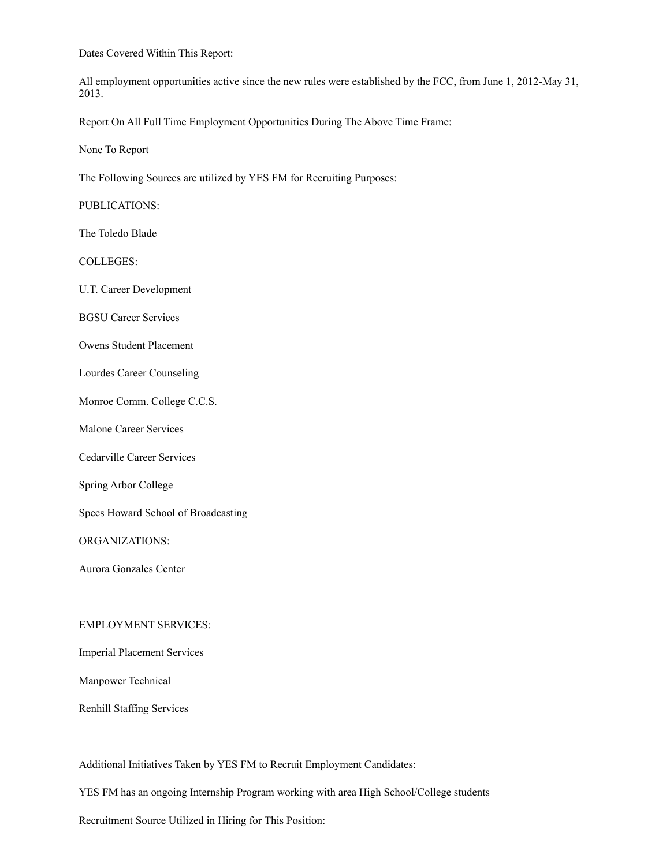Dates Covered Within This Report:

All employment opportunities active since the new rules were established by the FCC, from June 1, 2012-May 31, 2013.

Report On All Full Time Employment Opportunities During The Above Time Frame:

None To Report

The Following Sources are utilized by YES FM for Recruiting Purposes:

PUBLICATIONS:

The Toledo Blade

COLLEGES:

U.T. Career Development

BGSU Career Services

Owens Student Placement

Lourdes Career Counseling

Monroe Comm. College C.C.S.

Malone Career Services

Cedarville Career Services

Spring Arbor College

Specs Howard School of Broadcasting

ORGANIZATIONS:

Aurora Gonzales Center

## EMPLOYMENT SERVICES:

Imperial Placement Services

Manpower Technical

Renhill Staffing Services

Additional Initiatives Taken by YES FM to Recruit Employment Candidates:

YES FM has an ongoing Internship Program working with area High School/College students

Recruitment Source Utilized in Hiring for This Position: